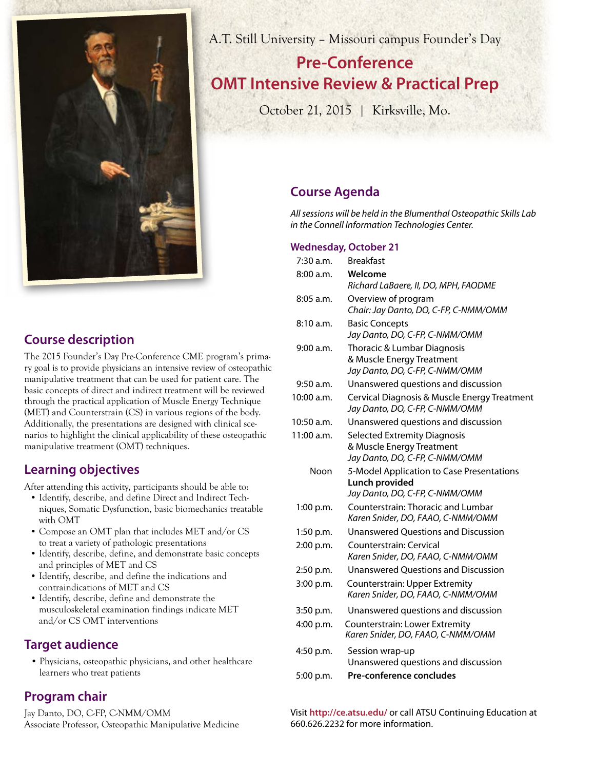

**Course description** 

The 2015 Founder's Day Pre-Conference CME program's primary goal is to provide physicians an intensive review of osteopathic manipulative treatment that can be used for patient care. The basic concepts of direct and indirect treatment will be reviewed through the practical application of Muscle Energy Technique (MET) and Counterstrain (CS) in various regions of the body. Additionally, the presentations are designed with clinical scenarios to highlight the clinical applicability of these osteopathic manipulative treatment (OMT) techniques.

# **Learning objectives**

After attending this activity, participants should be able to:

- Identify, describe, and define Direct and Indirect Techniques, Somatic Dysfunction, basic biomechanics treatable with OMT
- Compose an OMT plan that includes MET and/or CS to treat a variety of pathologic presentations
- Identify, describe, define, and demonstrate basic concepts and principles of MET and CS
- Identify, describe, and define the indications and contraindications of MET and CS
- Identify, describe, define and demonstrate the musculoskeletal examination findings indicate MET and/or CS OMT interventions

### **Target audience**

• Physicians, osteopathic physicians, and other healthcare learners who treat patients

# **Program chair**

Jay Danto, DO, C-FP, C-NMM/OMM Associate Professor, Osteopathic Manipulative Medicine

A.T. Still University – Missouri campus Founder's Day

# **Pre-Conference OMT Intensive Review & Practical Prep**

October 21, 2015 | Kirksville, Mo.

# **Course Agenda**

*All sessions will be held in the Blumenthal Osteopathic Skills Lab in the Connell Information Technologies Center.*

### **Wednesday, October 21**

| 7:30 a.m.   | <b>Breakfast</b>                                                                                   |
|-------------|----------------------------------------------------------------------------------------------------|
| 8:00 a.m.   | Welcome<br>Richard LaBaere, II, DO, MPH, FAODME                                                    |
| $8:05$ a.m. | Overview of program<br>Chair: Jay Danto, DO, C-FP, C-NMM/OMM                                       |
| 8:10a.m.    | <b>Basic Concepts</b><br>Jay Danto, DO, C-FP, C-NMM/OMM                                            |
| 9:00 a.m.   | Thoracic & Lumbar Diagnosis<br>& Muscle Energy Treatment<br>Jay Danto, DO, C-FP, C-NMM/OMM         |
| 9:50 a.m.   | Unanswered questions and discussion                                                                |
| 10:00 a.m.  | Cervical Diagnosis & Muscle Energy Treatment<br>Jay Danto, DO, C-FP, C-NMM/OMM                     |
| 10:50 a.m.  | Unanswered questions and discussion                                                                |
| 11:00 a.m.  | <b>Selected Extremity Diagnosis</b><br>& Muscle Energy Treatment<br>Jay Danto, DO, C-FP, C-NMM/OMM |
| Noon        | 5-Model Application to Case Presentations<br>Lunch provided                                        |
|             | Jay Danto, DO, C-FP, C-NMM/OMM                                                                     |
| 1:00 p.m.   | Counterstrain: Thoracic and Lumbar<br>Karen Snider, DO, FAAO, C-NMM/OMM                            |
| $1:50$ p.m. | <b>Unanswered Questions and Discussion</b>                                                         |
| 2:00 p.m.   | Counterstrain: Cervical<br>Karen Snider, DO, FAAO, C-NMM/OMM                                       |
| 2:50 p.m.   | <b>Unanswered Questions and Discussion</b>                                                         |
| 3:00 p.m.   | <b>Counterstrain: Upper Extremity</b><br>Karen Snider, DO, FAAO, C-NMM/OMM                         |
| 3:50 p.m.   | Unanswered questions and discussion                                                                |
| 4:00 p.m.   | Counterstrain: Lower Extremity<br>Karen Snider, DO, FAAO, C-NMM/OMM                                |
| 4:50 p.m.   | Session wrap-up<br>Unanswered questions and discussion                                             |
| 5:00 p.m.   | Pre-conference concludes                                                                           |

Visit **http://ce.atsu.edu/** or call ATSU Continuing Education at 660.626.2232 for more information.